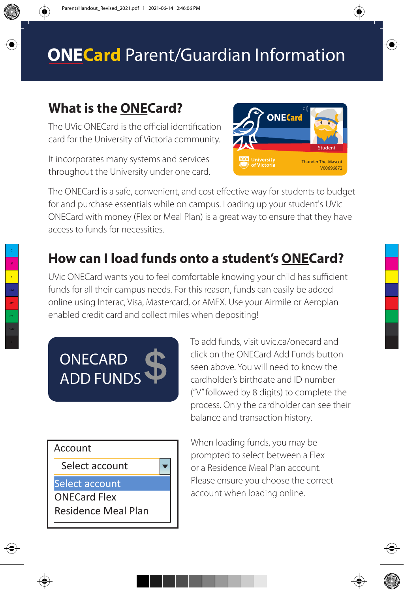# **ONECard** Parent/Guardian Information

## **What is the ONECard?**

The UVic ONECard is the official identification card for the University of Victoria community.

It incorporates many systems and services throughout the University under one card.



The ONECard is a safe, convenient, and cost effective way for students to budget for and purchase essentials while on campus. Loading up your student's UVic ONECard with money (Flex or Meal Plan) is a great way to ensure that they have access to funds for necessities.

## **How can I load funds onto a student's ONECard?**

UVic ONECard wants you to feel comfortable knowing your child has sufficient funds for all their campus needs. For this reason, funds can easily be added online using Interac, Visa, Mastercard, or AMEX. Use your Airmile or Aeroplan enabled credit card and collect miles when depositing!

**ONECARD ADD FUNDS**  To add funds, visit uvic.ca/onecard and click on the ONECard Add Funds button seen above. You will need to know the cardholder's birthdate and ID number ("V" followed by 8 digits) to complete the process. Only the cardholder can see their balance and transaction history.



When loading funds, you may be prompted to select between a Flex or a Residence Meal Plan account. Please ensure you choose the correct account when loading online.